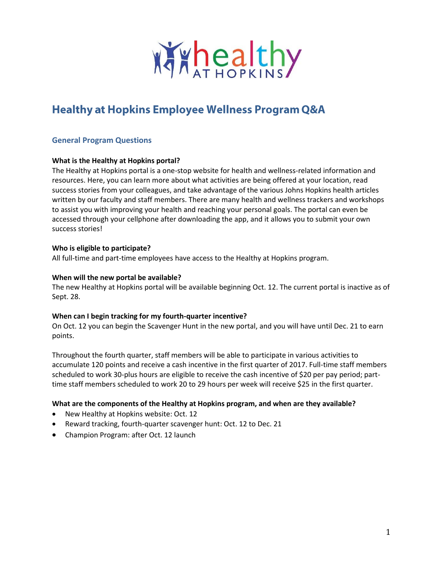

# **Healthy at Hopkins Employee Wellness Program Q&A**

## **General Program Questions**

#### **What is the Healthy at Hopkins portal?**

The Healthy at Hopkins portal is a one-stop website for health and wellness-related information and resources. Here, you can learn more about what activities are being offered at your location, read success stories from your colleagues, and take advantage of the various Johns Hopkins health articles written by our faculty and staff members. There are many health and wellness trackers and workshops to assist you with improving your health and reaching your personal goals. The portal can even be accessed through your cellphone after downloading the app, and it allows you to submit your own success stories!

#### **Who is eligible to participate?**

All full-time and part-time employees have access to the Healthy at Hopkins program.

#### **When will the new portal be available?**

The new Healthy at Hopkins portal will be available beginning Oct. 12. The current portal is inactive as of Sept. 28.

#### **When can I begin tracking for my fourth-quarter incentive?**

On Oct. 12 you can begin the Scavenger Hunt in the new portal, and you will have until Dec. 21 to earn points.

Throughout the fourth quarter, staff members will be able to participate in various activities to accumulate 120 points and receive a cash incentive in the first quarter of 2017. Full-time staff members scheduled to work 30-plus hours are eligible to receive the cash incentive of \$20 per pay period; parttime staff members scheduled to work 20 to 29 hours per week will receive \$25 in the first quarter.

## **What are the components of the Healthy at Hopkins program, and when are they available?**

- New Healthy at Hopkins website: Oct. 12
- Reward tracking, fourth-quarter scavenger hunt: Oct. 12 to Dec. 21
- Champion Program: after Oct. 12 launch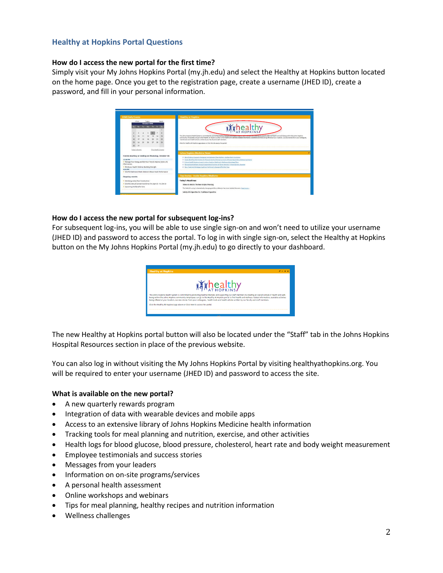## **Healthy at Hopkins Portal Questions**

#### **How do I access the new portal for the first time?**

Simply visit your My Johns Hopkins Portal (my.jh.edu) and select the Healthy at Hopkins button located on the home page. Once you get to the registration page, create a username (JHED ID), create a password, and fill in your personal information.



#### **How do I access the new portal for subsequent log-ins?**

For subsequent log-ins, you will be able to use single sign-on and won't need to utilize your username (JHED ID) and password to access the portal. To log in with single sign-on, select the Healthy at Hopkins button on the My Johns Hopkins Portal (my.jh.edu) to go directly to your dashboard.



The new Healthy at Hopkins portal button will also be located under the "Staff" tab in the Johns Hopkins Hospital Resources section in place of the previous website.

You can also log in without visiting the My Johns Hopkins Portal by visiting healthyathopkins.org. You will be required to enter your username (JHED ID) and password to access the site.

#### **What is available on the new portal?**

- A new quarterly rewards program
- Integration of data with wearable devices and mobile apps
- Access to an extensive library of Johns Hopkins Medicine health information
- Tracking tools for meal planning and nutrition, exercise, and other activities
- Health logs for blood glucose, blood pressure, cholesterol, heart rate and body weight measurement
- Employee testimonials and success stories
- Messages from your leaders
- Information on on-site programs/services
- A personal health assessment
- Online workshops and webinars
- Tips for meal planning, healthy recipes and nutrition information
- Wellness challenges